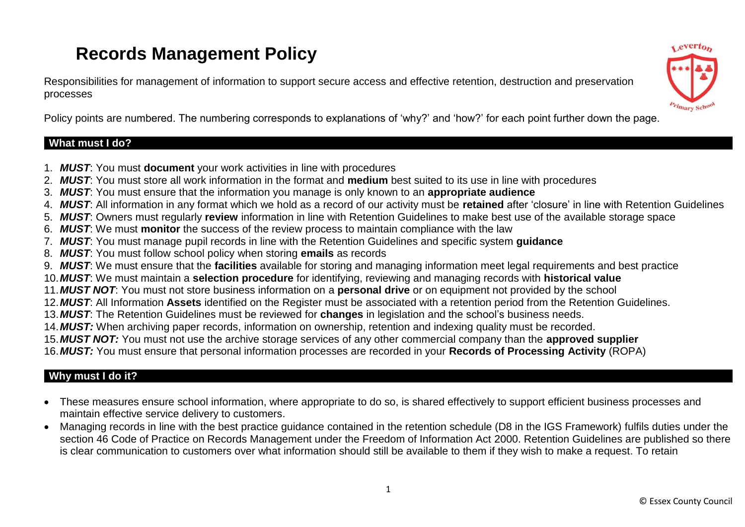# **Records Management Policy**

Responsibilities for management of information to support secure access and effective retention, destruction and preservation processes



Policy points are numbered. The numbering corresponds to explanations of 'why?' and 'how?' for each point further down the page.

# **What must I do?**

- 1. *MUST*: You must **document** your work activities in line with procedures
- 2. *MUST*: You must store all work information in the format and **medium** best suited to its use in line with procedures
- 3. *MUST*: You must ensure that the information you manage is only known to an **appropriate audience**
- 4. *MUST*: All information in any format which we hold as a record of our activity must be **retained** after 'closure' in line with Retention Guidelines
- 5. *MUST*: Owners must regularly **review** information in line with Retention Guidelines to make best use of the available storage space
- 6. *MUST*: We must **monitor** the success of the review process to maintain compliance with the law
- 7. *MUST*: You must manage pupil records in line with the Retention Guidelines and specific system **guidance**
- 8. *MUST*: You must follow school policy when storing **emails** as records
- 9. *MUST*: We must ensure that the **facilities** available for storing and managing information meet legal requirements and best practice
- 10.*MUST*: We must maintain a **selection procedure** for identifying, reviewing and managing records with **historical value**
- 11.*MUST NOT*: You must not store business information on a **personal drive** or on equipment not provided by the school
- 12.*MUST*: All Information **Assets** identified on the Register must be associated with a retention period from the Retention Guidelines.
- 13.*MUST*: The Retention Guidelines must be reviewed for **changes** in legislation and the school's business needs.
- 14.*MUST:* When archiving paper records, information on ownership, retention and indexing quality must be recorded.
- 15.*MUST NOT:* You must not use the archive storage services of any other commercial company than the **approved supplier**

16.*MUST:* You must ensure that personal information processes are recorded in your **Records of Processing Activity** (ROPA)

# **Why must I do it?**

- These measures ensure school information, where appropriate to do so, is shared effectively to support efficient business processes and maintain effective service delivery to customers.
- Managing records in line with the best practice guidance contained in the retention schedule (D8 in the IGS Framework) fulfils duties under the section 46 Code of Practice on Records Management under the Freedom of Information Act 2000. Retention Guidelines are published so there is clear communication to customers over what information should still be available to them if they wish to make a request. To retain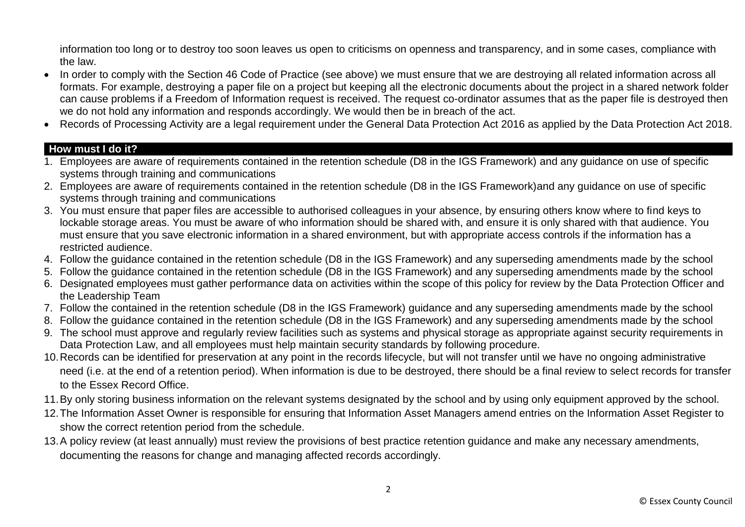information too long or to destroy too soon leaves us open to criticisms on openness and transparency, and in some cases, compliance with the law.

- In order to comply with the Section 46 Code of Practice (see above) we must ensure that we are destroying all related information across all formats. For example, destroying a paper file on a project but keeping all the electronic documents about the project in a shared network folder can cause problems if a Freedom of Information request is received. The request co-ordinator assumes that as the paper file is destroyed then we do not hold any information and responds accordingly. We would then be in breach of the act.
- Records of Processing Activity are a legal requirement under the General Data Protection Act 2016 as applied by the Data Protection Act 2018.

# **How must I do it?**

- 1. Employees are aware of requirements contained in the retention schedule (D8 in the IGS Framework) and any guidance on use of specific systems through training and communications
- 2. Employees are aware of requirements contained in the retention schedule (D8 in the IGS Framework)and any guidance on use of specific systems through training and communications
- 3. You must ensure that paper files are accessible to authorised colleagues in your absence, by ensuring others know where to find keys to lockable storage areas. You must be aware of who information should be shared with, and ensure it is only shared with that audience. You must ensure that you save electronic information in a shared environment, but with appropriate access controls if the information has a restricted audience.
- 4. Follow the guidance contained in the retention schedule (D8 in the IGS Framework) and any superseding amendments made by the school
- 5. Follow the guidance contained in the retention schedule (D8 in the IGS Framework) and any superseding amendments made by the school
- 6. Designated employees must gather performance data on activities within the scope of this policy for review by the Data Protection Officer and the Leadership Team
- 7. Follow the contained in the retention schedule (D8 in the IGS Framework) guidance and any superseding amendments made by the school
- 8. Follow the guidance contained in the retention schedule (D8 in the IGS Framework) and any superseding amendments made by the school
- 9. The school must approve and regularly review facilities such as systems and physical storage as appropriate against security requirements in Data Protection Law, and all employees must help maintain security standards by following procedure.
- 10.Records can be identified for preservation at any point in the records lifecycle, but will not transfer until we have no ongoing administrative need (i.e. at the end of a retention period). When information is due to be destroyed, there should be a final review to select records for transfer to the Essex Record Office.
- 11.By only storing business information on the relevant systems designated by the school and by using only equipment approved by the school.
- 12.The Information Asset Owner is responsible for ensuring that Information Asset Managers amend entries on the Information Asset Register to show the correct retention period from the schedule.
- 13.A policy review (at least annually) must review the provisions of best practice retention guidance and make any necessary amendments, documenting the reasons for change and managing affected records accordingly.